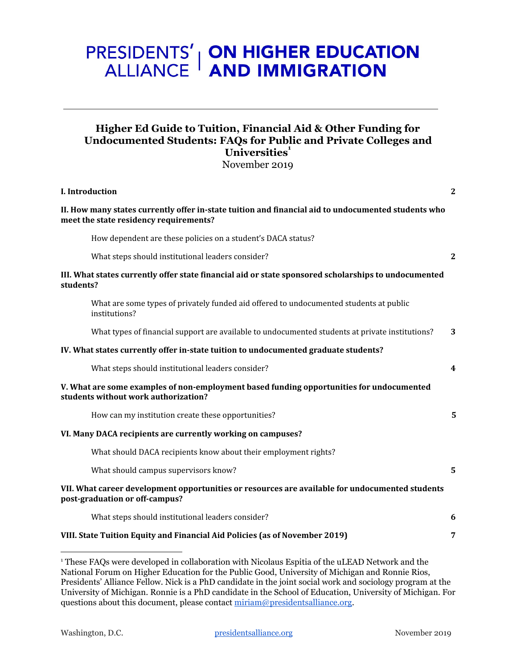# **PRESIDENTS' | ON HIGHER EDUCATION<br>ALLIANCE | AND IMMIGRATION**

## **Higher Ed Guide to Tuition, Financial Aid & Other Funding for Undocumented Students: FAQs for Public and Private Colleges and** Universities<sup>1</sup>

November 2019

| I. Introduction                                                                                                                               | $\mathbf{2}$   |
|-----------------------------------------------------------------------------------------------------------------------------------------------|----------------|
| II. How many states currently offer in-state tuition and financial aid to undocumented students who<br>meet the state residency requirements? |                |
| How dependent are these policies on a student's DACA status?                                                                                  |                |
| What steps should institutional leaders consider?                                                                                             | $\mathbf{2}$   |
| III. What states currently offer state financial aid or state sponsored scholarships to undocumented<br>students?                             |                |
| What are some types of privately funded aid offered to undocumented students at public<br>institutions?                                       |                |
| What types of financial support are available to undocumented students at private institutions?                                               | 3              |
| IV. What states currently offer in-state tuition to undocumented graduate students?                                                           |                |
| What steps should institutional leaders consider?                                                                                             | 4              |
| V. What are some examples of non-employment based funding opportunities for undocumented<br>students without work authorization?              |                |
| How can my institution create these opportunities?                                                                                            | 5              |
| VI. Many DACA recipients are currently working on campuses?                                                                                   |                |
| What should DACA recipients know about their employment rights?                                                                               |                |
| What should campus supervisors know?                                                                                                          | $\overline{5}$ |
| VII. What career development opportunities or resources are available for undocumented students<br>post-graduation or off-campus?             |                |
| What steps should institutional leaders consider?                                                                                             | 6              |
| VIII. State Tuition Equity and Financial Aid Policies (as of November 2019)                                                                   | 7              |
|                                                                                                                                               |                |

<sup>&</sup>lt;sup>1</sup> These FAQs were developed in collaboration with Nicolaus Espitia of the uLEAD Network and the National Forum on Higher Education for the Public Good, University of Michigan and Ronnie Rios, Presidents' Alliance Fellow. Nick is a PhD candidate in the joint social work and sociology program at the University of Michigan. Ronnie is a PhD candidate in the School of Education, University of Michigan. For questions about this document, please contact [miriam@presidentsalliance.org.](mailto:miriam@presidentsalliance.org)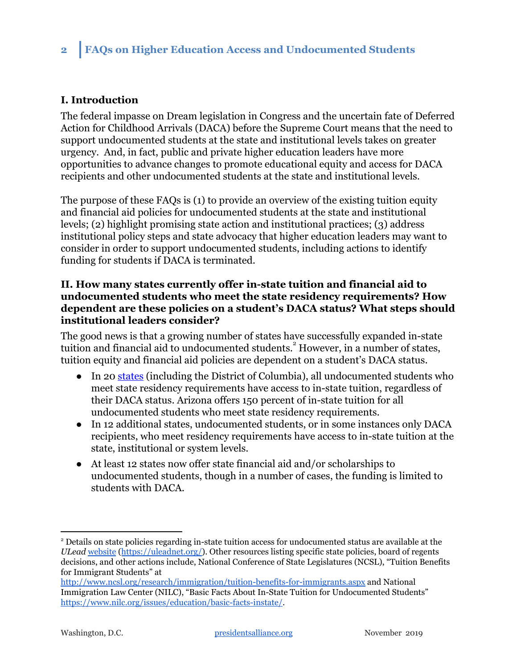## <span id="page-1-0"></span>**I. Introduction**

The federal impasse on Dream legislation in Congress and the uncertain fate of Deferred Action for Childhood Arrivals (DACA) before the Supreme Court means that the need to support undocumented students at the state and institutional levels takes on greater urgency. And, in fact, public and private higher education leaders have more opportunities to advance changes to promote educational equity and access for DACA recipients and other undocumented students at the state and institutional levels.

The purpose of these FAQs is (1) to provide an overview of the existing tuition equity and financial aid policies for undocumented students at the state and institutional levels; (2) highlight promising state action and institutional practices; (3) address institutional policy steps and state advocacy that higher education leaders may want to consider in order to support undocumented students, including actions to identify funding for students if DACA is terminated.

## <span id="page-1-1"></span>**II. How many states currently offer in-state tuition and financial aid to undocumented students who meet the state residency requirements? How dependent are these policies on a student's DACA status? What steps should institutional leaders consider?**

The good news is that a growing number of states have successfully expanded in-state tuition and financial aid to undocumented students.<sup>2</sup> However, in a number of states, tuition equity and financial aid policies are dependent on a student's DACA status.

- In 20 [states](https://uleadnet.org/) (including the District of Columbia), all undocumented students who meet state residency requirements have access to in-state tuition, regardless of their DACA status. Arizona offers 150 percent of in-state tuition for all undocumented students who meet state residency requirements.
- In 12 additional states, undocumented students, or in some instances only DACA recipients, who meet residency requirements have access to in-state tuition at the state, institutional or system levels.
- At least 12 states now offer state financial aid and/or scholarships to undocumented students, though in a number of cases, the funding is limited to students with DACA.

<sup>2</sup> Details on state policies regarding in-state tuition access for undocumented status are available at the *ULead* [website](https://uleadnet.org/) (<https://uleadnet.org/>). Other resources listing specific state policies, board of regents decisions, and other actions include, National Conference of State Legislatures (NCSL), "Tuition Benefits for Immigrant Students" at

<http://www.ncsl.org/research/immigration/tuition-benefits-for-immigrants.aspx> and National Immigration Law Center (NILC), "Basic Facts About In-State Tuition for Undocumented Students" <https://www.nilc.org/issues/education/basic-facts-instate/>.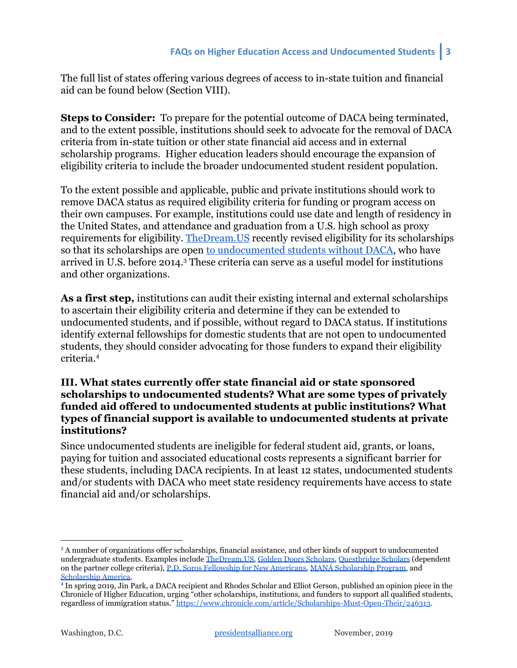The full list of states offering various degrees of access to in-state tuition and financial aid can be found below (Section VIII).

**Steps to Consider:** To prepare for the potential outcome of DACA being terminated, and to the extent possible, institutions should seek to advocate for the removal of DACA criteria from in-state tuition or other state financial aid access and in external scholarship programs. Higher education leaders should encourage the expansion of eligibility criteria to include the broader undocumented student resident population.

To the extent possible and applicable, public and private institutions should work to remove DACA status as required eligibility criteria for funding or program access on their own campuses. For example, institutions could use date and length of residency in the United States, and attendance and graduation from a U.S. high school as proxy requirements for eligibility. [TheDream.US](http://thedream.us/) recently revised eligibility for its scholarships so that its scholarships are open [to undocumented students without DACA,](https://www.thedream.us/news/thedream-us-announces-opening-of-new-scholarship-round-and-broader-eligibility-criteria-for-dreamers-seeking-a-college-education/) who have arrived in U.S. before 2014.<sup>3</sup> These criteria can serve as a useful model for institutions and other organizations.

**As a first step,** institutions can audit their existing internal and external scholarships to ascertain their eligibility criteria and determine if they can be extended to undocumented students, and if possible, without regard to DACA status. If institutions identify external fellowships for domestic students that are not open to undocumented students, they should consider advocating for those funders to expand their eligibility criteria.<sup>4</sup>

## <span id="page-2-0"></span>**III. What states currently offer state financial aid or state sponsored scholarships to undocumented students? What are some types of privately funded aid offered to undocumented students at public institutions? What types of financial support is available to undocumented students at private institutions?**

Since undocumented students are ineligible for federal student aid, grants, or loans, paying for tuition and associated educational costs represents a significant barrier for these students, including DACA recipients. In at least 12 states, undocumented students and/or students with DACA who meet state residency requirements have access to state financial aid and/or scholarships.

<sup>&</sup>lt;sup>3</sup> A number of organizations offer scholarships, financial assistance, and other kinds of support to undocumented undergraduate students. Examples include [TheDream.US,](https://www.thedream.us/scholarships/) [Golden Doors Scholars,](https://www.goldendoorscholars.org/) [Questbridge Scholars](https://www.questbridge.org/high-school-students/national-college-match/scholarship-details) (dependent on the partner college criteria), [P.D. Soros Fellowship for New Americans,](https://www.pdsoros.org/) [MANÁ Scholarship Program,](https://learnmore.scholarsapply.org/mana/) and [Scholarship America](https://scholarshipamerica.org/give/our-scholarships/dream-award/).

<sup>4</sup> In spring 2019, Jin Park, a DACA recipient and Rhodes Scholar and Elliot Gerson, published an opinion piece in the Chronicle of Higher Education, urging "other scholarships, institutions, and funders to support all qualified students, regardless of immigration status." <https://www.chronicle.com/article/Scholarships-Must-Open-Their/246313>.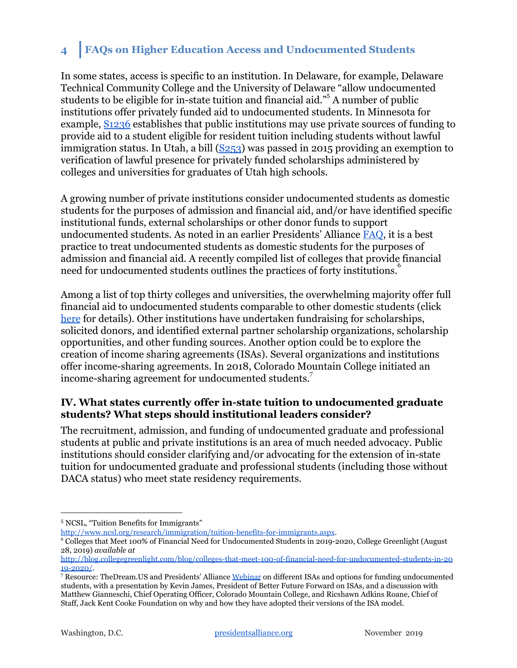## **4 FAQs on Higher Education Access and Undocumented Students**

In some states, access is specific to an institution. In Delaware, for example, [Delaware](https://www.nilc.org/issues/education/basic-facts-instate/) [Technical Community College and the University of Delaware "allow undocumented](https://www.nilc.org/issues/education/basic-facts-instate/) [students to be eligible for in-state tuition and financial aid.](https://www.nilc.org/issues/education/basic-facts-instate/)"<sup>5</sup> A number of public institutions offer privately funded aid to undocumented students. In Minnesota for example, [S1236](https://www.revisor.mn.gov/bills/status_description.php?f=SF1236&ssn=0&y=2013) establishes that public institutions may use private sources of funding to provide aid to a student eligible for resident tuition including students without lawful immigration status. In Utah, a bill  $(S253)$  $(S253)$  was passed in 2015 providing an exemption to verification of lawful presence for privately funded scholarships administered by colleges and universities for graduates of Utah high schools.

A growing number of private institutions consider undocumented students as domestic students for the purposes of admission and financial aid, and/or have identified specific institutional funds, external scholarships or other donor funds to support undocumented students. As noted in an earlier Presidents' Alliance [FAQ,](https://19lwtt3nwtm12axw5e31ay5s-wpengine.netdna-ssl.com/wp-content/uploads/2018/04/FAQ1-Undocumented-Students-HigherEd-Presidents-Alliance-3.27.18.pdf) it is a best practice to treat undocumented students as domestic students for the purposes of admission and financial aid. A recently compiled list of colleges that provide financial need for undocumented students outlines the practices of forty institutions.<sup>8</sup>

Among a list of top thirty colleges and universities, the overwhelming majority offer full financial aid to undocumented students comparable to other domestic students (click [here](https://www.presidentsimmigrationalliance.org/institutional-admission-and-financial-aid-policies-for-undocumented-students-among-highly-ranked-institutions/) for details). Other institutions have undertaken fundraising for scholarships, solicited donors, and identified external partner scholarship organizations, scholarship opportunities, and other funding sources. Another option could be to explore the creation of income sharing agreements (ISAs). Several organizations and institutions offer income-sharing agreements. In 2018, Colorado Mountain College initiated an income-sharing agreement for undocumented students.<sup>7</sup>

## <span id="page-3-0"></span>**IV. What states currently offer in-state tuition to undocumented graduate students? What steps should institutional leaders consider?**

The recruitment, admission, and funding of undocumented graduate and professional students at public and private institutions is an area of much needed advocacy. Public institutions should consider clarifying and/or advocating for the extension of in-state tuition for undocumented graduate and professional students (including those without DACA status) who meet state residency requirements.

[http://www.ncsl.org/research/immigration/tuition-benefits-for-immigrants.aspx.](http://www.ncsl.org/research/immigration/tuition-benefits-for-immigrants.aspx)

<sup>5</sup> NCSL, "Tuition Benefits for Immigrants"

<sup>6</sup> Colleges that Meet 100% of Financial Need for Undocumented Students in 2019-2020, College Greenlight (August 28, 2019) *available at*

[http://blog.collegegreenlight.com/blog/colleges-that-meet-100-of-financial-need-for-undocumented-students-in-20](http://blog.collegegreenlight.com/blog/colleges-that-meet-100-of-financial-need-for-undocumented-students-in-2019-2020/) [19-2020/.](http://blog.collegegreenlight.com/blog/colleges-that-meet-100-of-financial-need-for-undocumented-students-in-2019-2020/)

<sup>&</sup>lt;sup>7</sup> Resource: TheDream.US and Presidents' Alliance [Webinar](https://www.presidentsimmigrationalliance.org/bestpractices/) on different ISAs and options for funding undocumented students, with a presentation by Kevin James, President of Better Future Forward on ISAs, and a discussion with Matthew Gianneschi, Chief Operating Officer, Colorado Mountain College, and Ricshawn Adkins Roane, Chief of Staff, Jack Kent Cooke Foundation on why and how they have adopted their versions of the ISA model.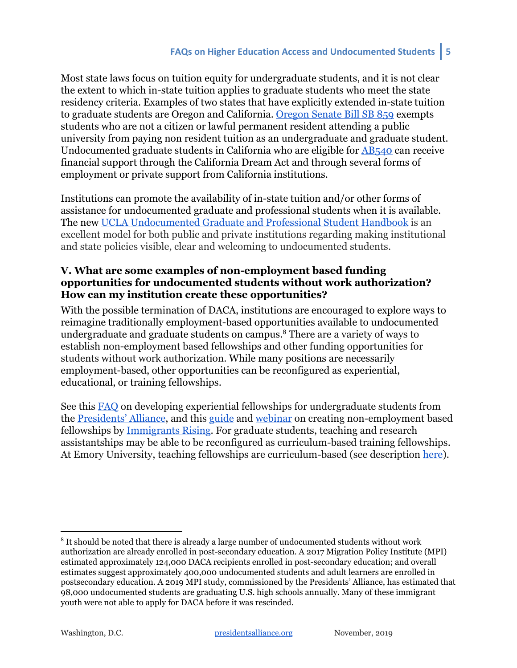## **FAQs on Higher Education Access and Undocumented Students 5**

Most state laws focus on tuition equity for undergraduate students, and it is not clear the extent to which in-state tuition applies to graduate students who meet the state residency criteria. Examples of two states that have explicitly extended in-state tuition to graduate students are Oregon and California. [Oregon Senate Bill SB 859](https://www.scribd.com/document/406754818/Senate-Bill-859#from_embed) exempts students who are not a citizen or lawful permanent resident attending a public university from paying non resident tuition as an undergraduate and graduate student. Undocumented graduate students in California who are eligible for [AB540](https://leginfo.legislature.ca.gov/faces/billNavClient.xhtml?bill_id=200120020AB540) can receive financial support through the California Dream Act and through several forms of employment or private support from California institutions.

Institutions can promote the availability of in-state tuition and/or other forms of assistance for undocumented graduate and professional students when it is available. The new [UCLA Undocumented Graduate and Professional Student Handbook](https://www.presidentsimmigrationalliance.org/wp-content/uploads/2019/11/UCLA_Undocumented_handbook_WEB_Oct2019.pdf) is an excellent model for both public and private institutions regarding making institutional and state policies visible, clear and welcoming to undocumented students.

## <span id="page-4-0"></span>**V. What are some examples of non-employment based funding opportunities for undocumented students without work authorization? How can my institution create these opportunities?**

With the possible termination of DACA, institutions are encouraged to explore ways to reimagine traditionally employment-based opportunities available to undocumented undergraduate and graduate students on campus.<sup>8</sup> There are a variety of ways to establish non-employment based fellowships and other funding opportunities for students without work authorization. While many positions are necessarily employment-based, other opportunities can be reconfigured as experiential, educational, or training fellowships.

See this [FAQ](https://19lwtt3nwtm12axw5e31ay5s-wpengine.netdna-ssl.com/wp-content/uploads/2018/04/FAQ3-NonEmployment-Fellowship-Opportunities-Presidents-Alliance-3.27.18.pdf) on developing experiential fellowships for undergraduate students from the [Presidents' Alliance](http://prezalliance.wpengine.com/), and this [guide](https://immigrantsrising.org/resource/creating-fellowship-programs-for-educational-institutions/) and [webinar](https://immigrantsrising.org/resource/creating-fellowship-programs-for-educational-institutions-webinar/) on creating non-employment based fellowships by [Immigrants Rising.](https://immigrantsrising.org/resources/) For graduate students, teaching and research assistantships may be able to be reconfigured as curriculum-based training fellowships. At Emory University, teaching fellowships are curriculum-based (see description [here](http://www.physics.emory.edu/home/academic/graduate/guide.html)).

<sup>&</sup>lt;sup>8</sup> It should be noted that there is already a large number of undocumented students without work authorization are already enrolled in post-secondary education. A 2017 Migration Policy Institute (MPI) estimated approximately 124,000 DACA recipients enrolled in post-secondary education; and overall estimates suggest approximately 400,000 undocumented students and adult learners are enrolled in postsecondary education. A 2019 MPI study, commissioned by the Presidents' Alliance, has estimated that 98,000 undocumented students are graduating U.S. high schools annually. Many of these immigrant youth were not able to apply for DACA before it was rescinded.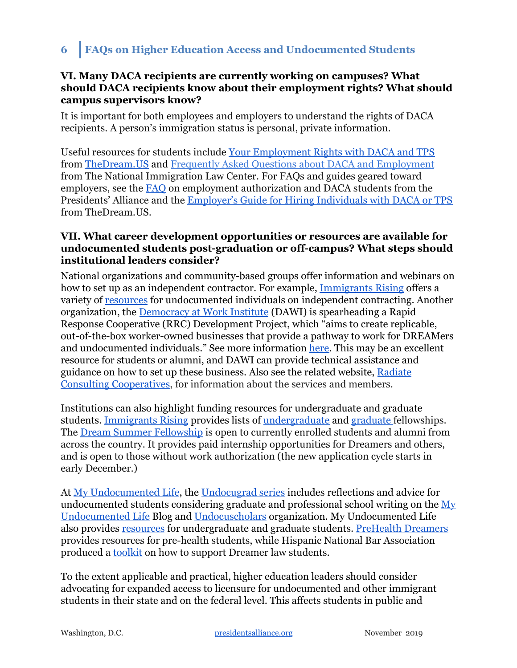## <span id="page-5-0"></span>**VI. Many DACA recipients are currently working on campuses? What should DACA recipients know about their employment rights? What should campus supervisors know?**

It is important for both employees and employers to understand the rights of DACA recipients. A person's immigration status is personal, private information.

Useful resources for students include [Your Employment Rights with DACA and TPS](https://www.thedream.us/wp-content/uploads/2019/08/TheDream.US-Employment-Guide-for-DREAMers.pdf) from [TheDream.US](https://www.thedream.us/) and [Frequently Asked Questions about DACA and Employment](https://www.nilc.org/issues/daca/about-daca-and-employment/) from The National Immigration Law Center. For FAQs and guides geared toward employers, see the [FAQ](https://19lwtt3nwtm12axw5e31ay5s-wpengine.netdna-ssl.com/wp-content/uploads/2018/04/FAQ2-Employment-Authorization-Presidents-Alliance-3.27.18.pdf) on employment authorization and DACA students from the Presidents' Alliance and the [Employer's Guide for Hiring Individuals with DACA or TPS](https://www.thedream.us/wp-content/uploads/2019/08/TheDream.US-Employment-Guide-for-Employers.pdf) from TheDream.US.

## <span id="page-5-1"></span>**VII. What career development opportunities or resources are available for undocumented students post-graduation or off-campus? What steps should institutional leaders consider?**

National organizations and community-based groups offer information and webinars on how to set up as an independent contractor. For example, [Immigrants Rising](https://immigrantsrising.org/) offers a variety of [resources](https://immigrantsrising.org/resources?_sft_geography=california,national&_sft_keyword=independent-contracting) for undocumented individuals on independent contracting. Another organization, the [Democracy at Work Institute](https://institute.coop/) (DAWI) is spearheading a Rapid Response Cooperative (RRC) Development Project, which "aims to create replicable, out-of-the-box worker-owned businesses that provide a pathway to work for DREAMers and undocumented individuals." See more information [here.](https://www.presidentsimmigrationalliance.org/wp-content/uploads/2019/11/Our-Work_RRC_FINAL.pdf) This may be an excellent resource for students or alumni, and DAWI can provide technical assistance and guidance on how to set up these business. Also see the related website, [Radiate](http://radiateconsulting.coop/) [Consulting Cooperatives,](http://radiateconsulting.coop/) for information about the services and members.

Institutions can also highlight funding resources for undergraduate and graduate students. [Immigrants Rising](https://immigrantsrising.org/resources/) provides lists of [undergraduate](https://immigrantsrising.org/resource/list-of-undergraduate-scholarships/) and [graduate](https://immigrantsrising.org/resource/list-of-graduate-scholarships/) fellowships. The [Dream Summer Fellowship](https://www.labor.ucla.edu/what-we-do/dream-resource-center/dream-summer/) is open to currently enrolled students and alumni from across the country. It provides paid internship opportunities for Dreamers and others, and is open to those without work authorization (the new application cycle starts in early December.)

At [My Undocumented Life](https://mydocumentedlife.org/), the [Undocugrad series](https://mydocumentedlife.org/2019/07/10/compilation-of-undocugrads-series/) includes reflections and advice for undocumented students considering graduate and professional school writing on the [My](https://mydocumentedlife.org/) [Undocumented Life](https://mydocumentedlife.org/) Blog an[d](http://www.undocuscholars.org/) [Undocuscholars](http://www.undocuscholars.org/) organization. My Undocumented Life also provides [resources](https://mydocumentedlife.org/graduate-school-students/) for undergraduate and graduate students. [PreHealth Dreamers](https://www.phdreamers.org/) provides resources for pre-health students, while Hispanic National Bar Association produced a [toolkit](https://www.presidentsimmigrationalliance.org/wp-content/uploads/2019/04/2019-HNBA-Dreamer-Initiative-Final.pdf) on how to support Dreamer law students.

To the extent applicable and practical, higher education leaders should consider advocating for expanded access to licensure for undocumented and other immigrant students in their state and on the federal level. This affects students in public and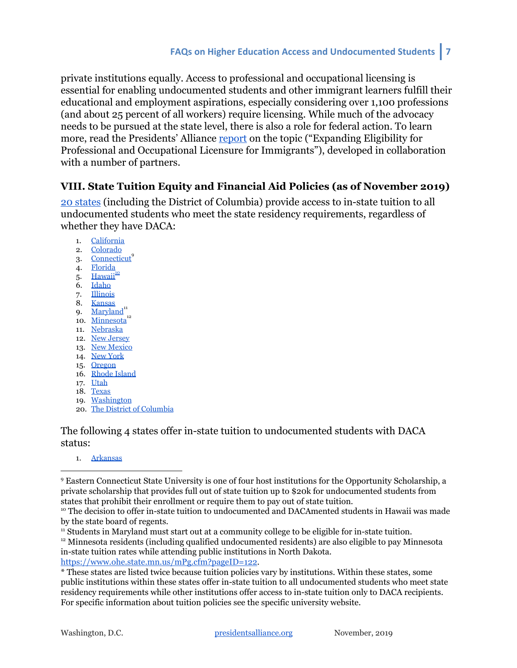private institutions equally. Access to professional and occupational licensing is essential for enabling undocumented students and other immigrant learners fulfill their educational and employment aspirations, especially considering over 1,100 professions (and about 25 percent of all workers) require licensing. While much of the advocacy needs to be pursued at the state level, there is also a role for federal action. To learn more, read the Presidents' Alliance [report](https://www.presidentsimmigrationalliance.org/pressrelease/new-report-congress-and-states-must-expand-job-licensing-to-dreamers-and-immigrants/) on the topic ("Expanding Eligibility for Professional and Occupational Licensure for Immigrants"), developed in collaboration with a number of partners.

## <span id="page-6-0"></span>**VIII. State Tuition Equity and Financial Aid Policies (as of November 2019)**

[20 states](https://uleadnet.org/) (including the District of Columbia) provide access to in-state tuition to all undocumented students who meet the state residency requirements, regardless of whether they have DACA:

- 1. [California](http://www.leginfo.ca.gov/pub/01-02/bill/asm/ab_0501-0550/ab_540_bill_20011013_chaptered.html)
- 2. [Colorado](http://www.leg.state.co.us/clics/clics2013a/csl.nsf/fsbillcont3/E083F0BE76DFD8F087257A8E0073BFC9?Open&file=033_enr.pdf)
- 3. [Connecticut](https://www.cga.ct.gov/2015/fc/2015HB-06844-R000875-FC.htm)<sup>9</sup>
- 4. [Florida](https://www.flsenate.gov/Session/Bill/2014/0851)
- 5. [Hawaii](https://www.hawaii.edu/policy/?action=viewPolicy&policySection=rp&policyChapter=6&policyNumber=209) $\frac{10}{10}$
- 6. [Idaho](https://legislature.search.idaho.gov/search?IW_FIELD_TEXT=1280&IW_DATABASE=2016+regular+legislative+session)
- 7. [Illinois](http://www.ilga.gov/legislation/publicacts/fulltext.asp?Name=093-0007)
- 8. [Kansas](http://dreamact.info/sites/default/files/H.B.%202145%20%5BK.S.A.%2076-731a%5D%20-%20Kansas%20State%20Legislature.pdf) 9.  $Maryland<sup>11</sup>$  $Maryland<sup>11</sup>$
- 10. [Minnesota](http://www.ohe.state.mn.us/mPg.cfm?pageID=2056)
- 11. [Nebraska](https://nebraskalegislature.gov/FloorDocs/99/PDF/Slip/LB239.pdf)
- 12. [New Jersey](https://www.njleg.state.nj.us/2012/Bills/S2500/2479_I1.HTM)
- 13. [New Mexico](https://www.nmlegis.gov/Sessions/05%20Regular/final/SB0582.pdf)
- 14. [New York](https://nyassembly.gov/leg/?sh=printbill&bn=A09612&term=2001)
- 15. [Oregon](https://olis.leg.state.or.us/liz/2013R1/Downloads/MeasureAnalysisDocument/17905)
- 16. [Rhode Island](https://legiscan.com/RI/bill/H5237/2017)
- 17. [Utah](https://le.utah.gov/~2002/bills/hbillenr/HB0144.pdf)
- 18. [Texas](https://capitol.texas.gov/tlodocs/77R/billtext/html/HB01403F.htm)
- 19. [Washington](http://lawfilesext.leg.wa.gov/biennium/2003-04/Pdf/Bills/House%20Passed%20Legislature/1079.PL.pdf#page=1)
- 20. [The District of Columbia](http://lims.dccouncil.us/Download/34620/B21-0422-SignedAct.pdf)

The following 4 states offer in-state tuition to undocumented students with DACA status:

1. [Arkansas](http://www.arkleg.state.ar.us/assembly/2019/2019R/Bills/HB1684.pdf)

<sup>11</sup> Students in Maryland must start out at a community college to be eligible for in-state tuition.

<https://www.ohe.state.mn.us/mPg.cfm?pageID=122>.

<sup>9</sup> Eastern Connecticut State University is one of four host institutions for the Opportunity Scholarship, a private scholarship that provides full out of state tuition up to \$20k for undocumented students from states that prohibit their enrollment or require them to pay out of state tuition.

<sup>&</sup>lt;sup>10</sup> The decision to offer in-state tuition to undocumented and DACAmented students in Hawaii was made by the state board of regents.

<sup>12</sup> Minnesota residents (including qualified undocumented residents) are also eligible to pay Minnesota in-state tuition rates while attending public institutions in North Dakota.

<sup>\*</sup> These states are listed twice because tuition policies vary by institutions. Within these states, some public institutions within these states offer in-state tuition to all undocumented students who meet state residency requirements while other institutions offer access to in-state tuition only to DACA recipients. For specific information about tuition policies see the specific university website.